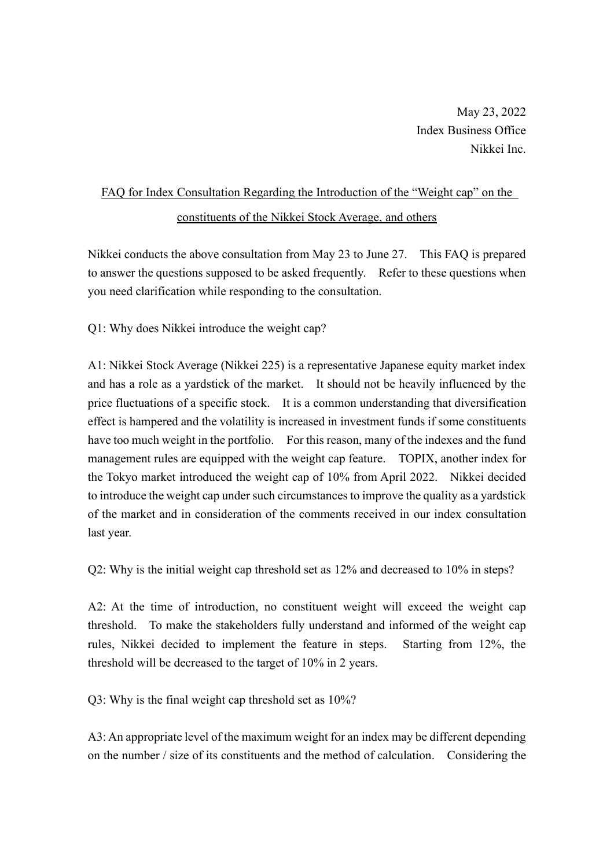May 23, 2022 Index Business Office Nikkei Inc.

## FAQ for Index Consultation Regarding the Introduction of the "Weight cap" on the constituents of the Nikkei Stock Average, and others

Nikkei conducts the above consultation from May 23 to June 27. This FAQ is prepared to answer the questions supposed to be asked frequently. Refer to these questions when you need clarification while responding to the consultation.

Q1: Why does Nikkei introduce the weight cap?

A1: Nikkei Stock Average (Nikkei 225) is a representative Japanese equity market index and has a role as a yardstick of the market. It should not be heavily influenced by the price fluctuations of a specific stock. It is a common understanding that diversification effect is hampered and the volatility is increased in investment funds if some constituents have too much weight in the portfolio. For this reason, many of the indexes and the fund management rules are equipped with the weight cap feature. TOPIX, another index for the Tokyo market introduced the weight cap of 10% from April 2022. Nikkei decided to introduce the weight cap under such circumstances to improve the quality as a yardstick of the market and in consideration of the comments received in our index consultation last year.

Q2: Why is the initial weight cap threshold set as 12% and decreased to 10% in steps?

A2: At the time of introduction, no constituent weight will exceed the weight cap threshold. To make the stakeholders fully understand and informed of the weight cap rules, Nikkei decided to implement the feature in steps. Starting from 12%, the threshold will be decreased to the target of 10% in 2 years.

Q3: Why is the final weight cap threshold set as 10%?

A3: An appropriate level of the maximum weight for an index may be different depending on the number / size of its constituents and the method of calculation. Considering the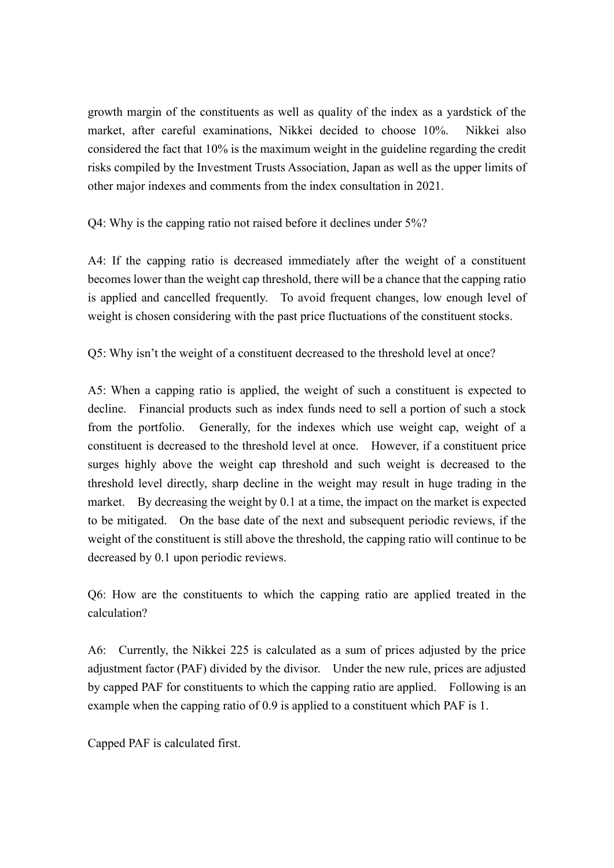growth margin of the constituents as well as quality of the index as a yardstick of the market, after careful examinations, Nikkei decided to choose 10%. Nikkei also considered the fact that 10% is the maximum weight in the guideline regarding the credit risks compiled by the Investment Trusts Association, Japan as well as the upper limits of other major indexes and comments from the index consultation in 2021.

Q4: Why is the capping ratio not raised before it declines under 5%?

A4: If the capping ratio is decreased immediately after the weight of a constituent becomes lower than the weight cap threshold, there will be a chance that the capping ratio is applied and cancelled frequently. To avoid frequent changes, low enough level of weight is chosen considering with the past price fluctuations of the constituent stocks.

Q5: Why isn't the weight of a constituent decreased to the threshold level at once?

A5: When a capping ratio is applied, the weight of such a constituent is expected to decline. Financial products such as index funds need to sell a portion of such a stock from the portfolio. Generally, for the indexes which use weight cap, weight of a constituent is decreased to the threshold level at once. However, if a constituent price surges highly above the weight cap threshold and such weight is decreased to the threshold level directly, sharp decline in the weight may result in huge trading in the market. By decreasing the weight by 0.1 at a time, the impact on the market is expected to be mitigated. On the base date of the next and subsequent periodic reviews, if the weight of the constituent is still above the threshold, the capping ratio will continue to be decreased by 0.1 upon periodic reviews.

Q6: How are the constituents to which the capping ratio are applied treated in the calculation?

A6: Currently, the Nikkei 225 is calculated as a sum of prices adjusted by the price adjustment factor (PAF) divided by the divisor. Under the new rule, prices are adjusted by capped PAF for constituents to which the capping ratio are applied. Following is an example when the capping ratio of 0.9 is applied to a constituent which PAF is 1.

Capped PAF is calculated first.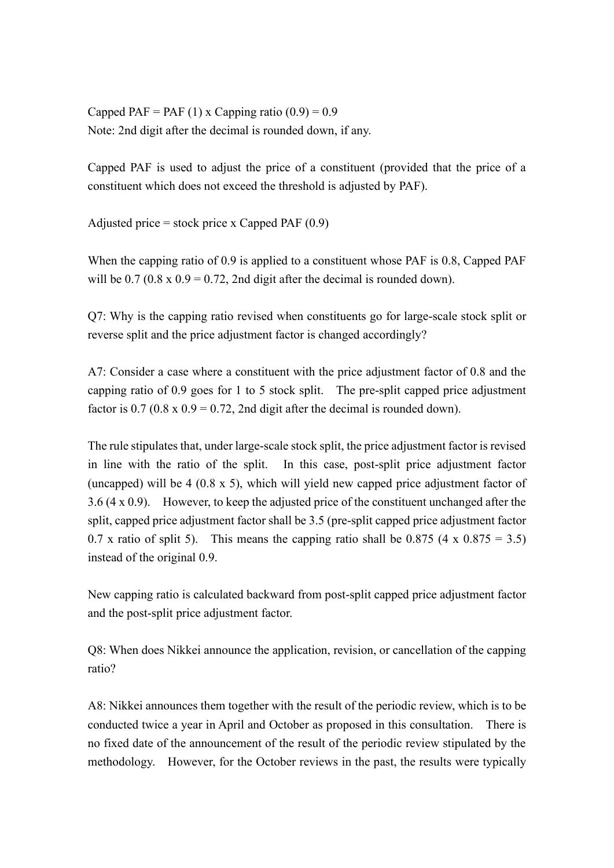Capped PAF = PAF (1) x Capping ratio  $(0.9) = 0.9$ Note: 2nd digit after the decimal is rounded down, if any.

Capped PAF is used to adjust the price of a constituent (provided that the price of a constituent which does not exceed the threshold is adjusted by PAF).

Adjusted price  $=$  stock price x Capped PAF  $(0.9)$ 

When the capping ratio of 0.9 is applied to a constituent whose PAF is 0.8, Capped PAF will be  $0.7 (0.8 \times 0.9 = 0.72, 2nd$  digit after the decimal is rounded down).

Q7: Why is the capping ratio revised when constituents go for large-scale stock split or reverse split and the price adjustment factor is changed accordingly?

A7: Consider a case where a constituent with the price adjustment factor of 0.8 and the capping ratio of 0.9 goes for 1 to 5 stock split. The pre-split capped price adjustment factor is  $0.7$  ( $0.8$  x  $0.9$  =  $0.72$ , 2nd digit after the decimal is rounded down).

The rule stipulates that, under large-scale stock split, the price adjustment factor is revised in line with the ratio of the split. In this case, post-split price adjustment factor (uncapped) will be 4 (0.8 x 5), which will yield new capped price adjustment factor of 3.6 (4 x 0.9). However, to keep the adjusted price of the constituent unchanged after the split, capped price adjustment factor shall be 3.5 (pre-split capped price adjustment factor 0.7 x ratio of split 5). This means the capping ratio shall be 0.875 (4 x 0.875 = 3.5) instead of the original 0.9.

New capping ratio is calculated backward from post-split capped price adjustment factor and the post-split price adjustment factor.

Q8: When does Nikkei announce the application, revision, or cancellation of the capping ratio?

A8: Nikkei announces them together with the result of the periodic review, which is to be conducted twice a year in April and October as proposed in this consultation. There is no fixed date of the announcement of the result of the periodic review stipulated by the methodology. However, for the October reviews in the past, the results were typically